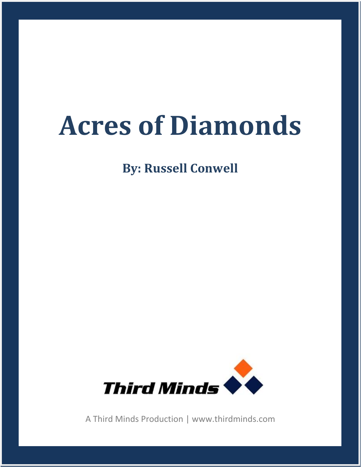## **Acres of Diamonds**

**By: Russell Conwell**



A Third Minds Production | www.thirdminds.com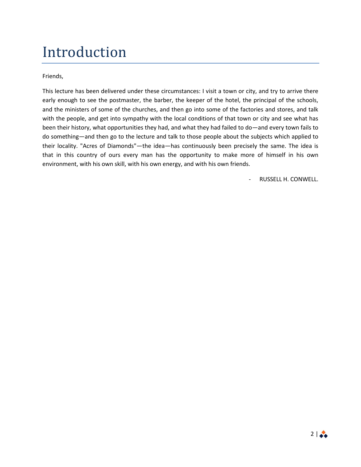## Introduction

Friends,

This lecture has been delivered under these circumstances: I visit a town or city, and try to arrive there early enough to see the postmaster, the barber, the keeper of the hotel, the principal of the schools, and the ministers of some of the churches, and then go into some of the factories and stores, and talk with the people, and get into sympathy with the local conditions of that town or city and see what has been their history, what opportunities they had, and what they had failed to do—and every town fails to do something—and then go to the lecture and talk to those people about the subjects which applied to their locality. "Acres of Diamonds"—the idea—has continuously been precisely the same. The idea is that in this country of ours every man has the opportunity to make more of himself in his own environment, with his own skill, with his own energy, and with his own friends.

- RUSSELL H. CONWELL.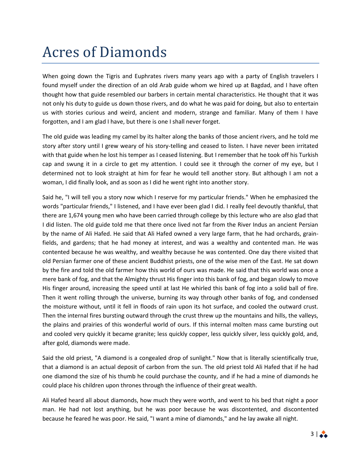## Acres of Diamonds

When going down the Tigris and Euphrates rivers many years ago with a party of English travelers I found myself under the direction of an old Arab guide whom we hired up at Bagdad, and I have often thought how that guide resembled our barbers in certain mental characteristics. He thought that it was not only his duty to guide us down those rivers, and do what he was paid for doing, but also to entertain us with stories curious and weird, ancient and modern, strange and familiar. Many of them I have forgotten, and I am glad I have, but there is one I shall never forget.

The old guide was leading my camel by its halter along the banks of those ancient rivers, and he told me story after story until I grew weary of his story-telling and ceased to listen. I have never been irritated with that guide when he lost his temper as I ceased listening. But I remember that he took off his Turkish cap and swung it in a circle to get my attention. I could see it through the corner of my eye, but I determined not to look straight at him for fear he would tell another story. But although I am not a woman, I did finally look, and as soon as I did he went right into another story.

Said he, "I will tell you a story now which I reserve for my particular friends." When he emphasized the words "particular friends," I listened, and I have ever been glad I did. I really feel devoutly thankful, that there are 1,674 young men who have been carried through college by this lecture who are also glad that I did listen. The old guide told me that there once lived not far from the River Indus an ancient Persian by the name of Ali Hafed. He said that Ali Hafed owned a very large farm, that he had orchards, grainfields, and gardens; that he had money at interest, and was a wealthy and contented man. He was contented because he was wealthy, and wealthy because he was contented. One day there visited that old Persian farmer one of these ancient Buddhist priests, one of the wise men of the East. He sat down by the fire and told the old farmer how this world of ours was made. He said that this world was once a mere bank of fog, and that the Almighty thrust His finger into this bank of fog, and began slowly to move His finger around, increasing the speed until at last He whirled this bank of fog into a solid ball of fire. Then it went rolling through the universe, burning its way through other banks of fog, and condensed the moisture without, until it fell in floods of rain upon its hot surface, and cooled the outward crust. Then the internal fires bursting outward through the crust threw up the mountains and hills, the valleys, the plains and prairies of this wonderful world of ours. If this internal molten mass came bursting out and cooled very quickly it became granite; less quickly copper, less quickly silver, less quickly gold, and, after gold, diamonds were made.

Said the old priest, "A diamond is a congealed drop of sunlight." Now that is literally scientifically true, that a diamond is an actual deposit of carbon from the sun. The old priest told Ali Hafed that if he had one diamond the size of his thumb he could purchase the county, and if he had a mine of diamonds he could place his children upon thrones through the influence of their great wealth.

Ali Hafed heard all about diamonds, how much they were worth, and went to his bed that night a poor man. He had not lost anything, but he was poor because he was discontented, and discontented because he feared he was poor. He said, "I want a mine of diamonds," and he lay awake all night.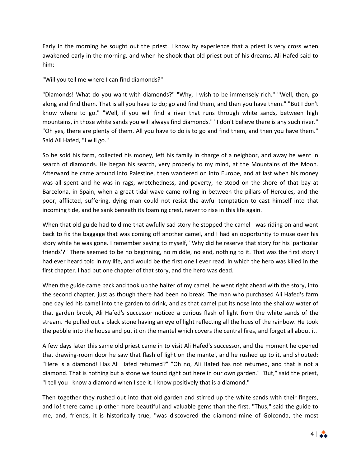Early in the morning he sought out the priest. I know by experience that a priest is very cross when awakened early in the morning, and when he shook that old priest out of his dreams, Ali Hafed said to him:

"Will you tell me where I can find diamonds?"

"Diamonds! What do you want with diamonds?" "Why, I wish to be immensely rich." "Well, then, go along and find them. That is all you have to do; go and find them, and then you have them." "But I don't know where to go." "Well, if you will find a river that runs through white sands, between high mountains, in those white sands you will always find diamonds." "I don't believe there is any such river." "Oh yes, there are plenty of them. All you have to do is to go and find them, and then you have them." Said Ali Hafed, "I will go."

So he sold his farm, collected his money, left his family in charge of a neighbor, and away he went in search of diamonds. He began his search, very properly to my mind, at the Mountains of the Moon. Afterward he came around into Palestine, then wandered on into Europe, and at last when his money was all spent and he was in rags, wretchedness, and poverty, he stood on the shore of that bay at Barcelona, in Spain, when a great tidal wave came rolling in between the pillars of Hercules, and the poor, afflicted, suffering, dying man could not resist the awful temptation to cast himself into that incoming tide, and he sank beneath its foaming crest, never to rise in this life again.

When that old guide had told me that awfully sad story he stopped the camel I was riding on and went back to fix the baggage that was coming off another camel, and I had an opportunity to muse over his story while he was gone. I remember saying to myself, "Why did he reserve that story for his 'particular friends'?" There seemed to be no beginning, no middle, no end, nothing to it. That was the first story I had ever heard told in my life, and would be the first one I ever read, in which the hero was killed in the first chapter. I had but one chapter of that story, and the hero was dead.

When the guide came back and took up the halter of my camel, he went right ahead with the story, into the second chapter, just as though there had been no break. The man who purchased Ali Hafed's farm one day led his camel into the garden to drink, and as that camel put its nose into the shallow water of that garden brook, Ali Hafed's successor noticed a curious flash of light from the white sands of the stream. He pulled out a black stone having an eye of light reflecting all the hues of the rainbow. He took the pebble into the house and put it on the mantel which covers the central fires, and forgot all about it.

A few days later this same old priest came in to visit Ali Hafed's successor, and the moment he opened that drawing-room door he saw that flash of light on the mantel, and he rushed up to it, and shouted: "Here is a diamond! Has Ali Hafed returned?" "Oh no, Ali Hafed has not returned, and that is not a diamond. That is nothing but a stone we found right out here in our own garden." "But," said the priest, "I tell you I know a diamond when I see it. I know positively that is a diamond."

Then together they rushed out into that old garden and stirred up the white sands with their fingers, and lo! there came up other more beautiful and valuable gems than the first. "Thus," said the guide to me, and, friends, it is historically true, "was discovered the diamond-mine of Golconda, the most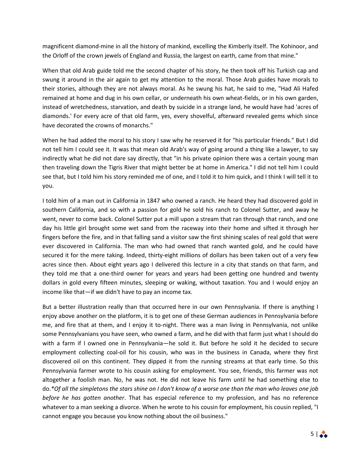magnificent diamond-mine in all the history of mankind, excelling the Kimberly itself. The Kohinoor, and the Orloff of the crown jewels of England and Russia, the largest on earth, came from that mine."

When that old Arab guide told me the second chapter of his story, he then took off his Turkish cap and swung it around in the air again to get my attention to the moral. Those Arab guides have morals to their stories, although they are not always moral. As he swung his hat, he said to me, "Had Ali Hafed remained at home and dug in his own cellar, or underneath his own wheat-fields, or in his own garden, instead of wretchedness, starvation, and death by suicide in a strange land, he would have had 'acres of diamonds.' For every acre of that old farm, yes, every shovelful, afterward revealed gems which since have decorated the crowns of monarchs."

When he had added the moral to his story I saw why he reserved it for "his particular friends." But I did not tell him I could see it. It was that mean old Arab's way of going around a thing like a lawyer, to say indirectly what he did not dare say directly, that "in his private opinion there was a certain young man then traveling down the Tigris River that might better be at home in America." I did not tell him I could see that, but I told him his story reminded me of one, and I told it to him quick, and I think I will tell it to you.

I told him of a man out in California in 1847 who owned a ranch. He heard they had discovered gold in southern California, and so with a passion for gold he sold his ranch to Colonel Sutter, and away he went, never to come back. Colonel Sutter put a mill upon a stream that ran through that ranch, and one day his little girl brought some wet sand from the raceway into their home and sifted it through her fingers before the fire, and in that falling sand a visitor saw the first shining scales of real gold that were ever discovered in California. The man who had owned that ranch wanted gold, and he could have secured it for the mere taking. Indeed, thirty-eight millions of dollars has been taken out of a very few acres since then. About eight years ago I delivered this lecture in a city that stands on that farm, and they told me that a one-third owner for years and years had been getting one hundred and twenty dollars in gold every fifteen minutes, sleeping or waking, without taxation. You and I would enjoy an income like that—if we didn't have to pay an income tax.

But a better illustration really than that occurred here in our own Pennsylvania. If there is anything I enjoy above another on the platform, it is to get one of these German audiences in Pennsylvania before me, and fire that at them, and I enjoy it to-night. There was a man living in Pennsylvania, not unlike some Pennsylvanians you have seen, who owned a farm, and he did with that farm just what I should do with a farm if I owned one in Pennsylvania—he sold it. But before he sold it he decided to secure employment collecting coal-oil for his cousin, who was in the business in Canada, where they first discovered oil on this continent. They dipped it from the running streams at that early time. So this Pennsylvania farmer wrote to his cousin asking for employment. You see, friends, this farmer was not altogether a foolish man. No, he was not. He did not leave his farm until he had something else to do.*\*Of all the simpletons the stars shine on I don't know of a worse one than the man who leaves one job before he has gotten another*. That has especial reference to my profession, and has no reference whatever to a man seeking a divorce. When he wrote to his cousin for employment, his cousin replied, "I cannot engage you because you know nothing about the oil business."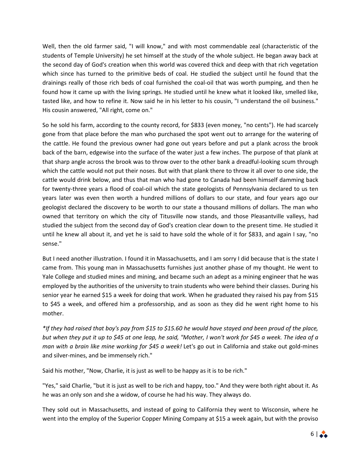Well, then the old farmer said, "I will know," and with most commendable zeal (characteristic of the students of Temple University) he set himself at the study of the whole subject. He began away back at the second day of God's creation when this world was covered thick and deep with that rich vegetation which since has turned to the primitive beds of coal. He studied the subject until he found that the drainings really of those rich beds of coal furnished the coal-oil that was worth pumping, and then he found how it came up with the living springs. He studied until he knew what it looked like, smelled like, tasted like, and how to refine it. Now said he in his letter to his cousin, "I understand the oil business." His cousin answered, "All right, come on."

So he sold his farm, according to the county record, for \$833 (even money, "no cents"). He had scarcely gone from that place before the man who purchased the spot went out to arrange for the watering of the cattle. He found the previous owner had gone out years before and put a plank across the brook back of the barn, edgewise into the surface of the water just a few inches. The purpose of that plank at that sharp angle across the brook was to throw over to the other bank a dreadful-looking scum through which the cattle would not put their noses. But with that plank there to throw it all over to one side, the cattle would drink below, and thus that man who had gone to Canada had been himself damming back for twenty-three years a flood of coal-oil which the state geologists of Pennsylvania declared to us ten years later was even then worth a hundred millions of dollars to our state, and four years ago our geologist declared the discovery to be worth to our state a thousand millions of dollars. The man who owned that territory on which the city of Titusville now stands, and those Pleasantville valleys, had studied the subject from the second day of God's creation clear down to the present time. He studied it until he knew all about it, and yet he is said to have sold the whole of it for \$833, and again I say, "no sense."

But I need another illustration. I found it in Massachusetts, and I am sorry I did because that is the state I came from. This young man in Massachusetts furnishes just another phase of my thought. He went to Yale College and studied mines and mining, and became such an adept as a mining engineer that he was employed by the authorities of the university to train students who were behind their classes. During his senior year he earned \$15 a week for doing that work. When he graduated they raised his pay from \$15 to \$45 a week, and offered him a professorship, and as soon as they did he went right home to his mother.

*\*If they had raised that boy's pay from \$15 to \$15.60 he would have stayed and been proud of the place, but when they put it up to \$45 at one leap, he said, "Mother, I won't work for \$45 a week. The idea of a man with a brain like mine working for \$45 a week!* Let's go out in California and stake out gold-mines and silver-mines, and be immensely rich."

Said his mother, "Now, Charlie, it is just as well to be happy as it is to be rich."

"Yes," said Charlie, "but it is just as well to be rich and happy, too." And they were both right about it. As he was an only son and she a widow, of course he had his way. They always do.

They sold out in Massachusetts, and instead of going to California they went to Wisconsin, where he went into the employ of the Superior Copper Mining Company at \$15 a week again, but with the proviso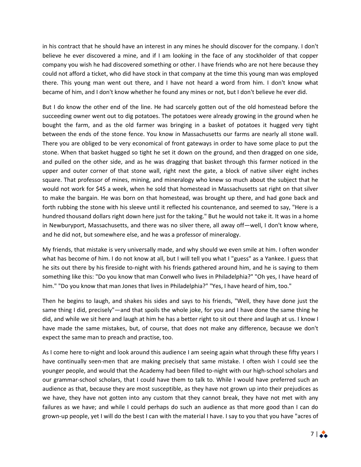in his contract that he should have an interest in any mines he should discover for the company. I don't believe he ever discovered a mine, and if I am looking in the face of any stockholder of that copper company you wish he had discovered something or other. I have friends who are not here because they could not afford a ticket, who did have stock in that company at the time this young man was employed there. This young man went out there, and I have not heard a word from him. I don't know what became of him, and I don't know whether he found any mines or not, but I don't believe he ever did.

But I do know the other end of the line. He had scarcely gotten out of the old homestead before the succeeding owner went out to dig potatoes. The potatoes were already growing in the ground when he bought the farm, and as the old farmer was bringing in a basket of potatoes it hugged very tight between the ends of the stone fence. You know in Massachusetts our farms are nearly all stone wall. There you are obliged to be very economical of front gateways in order to have some place to put the stone. When that basket hugged so tight he set it down on the ground, and then dragged on one side, and pulled on the other side, and as he was dragging that basket through this farmer noticed in the upper and outer corner of that stone wall, right next the gate, a block of native silver eight inches square. That professor of mines, mining, and mineralogy who knew so much about the subject that he would not work for \$45 a week, when he sold that homestead in Massachusetts sat right on that silver to make the bargain. He was born on that homestead, was brought up there, and had gone back and forth rubbing the stone with his sleeve until it reflected his countenance, and seemed to say, "Here is a hundred thousand dollars right down here just for the taking." But he would not take it. It was in a home in Newburyport, Massachusetts, and there was no silver there, all away off—well, I don't know where, and he did not, but somewhere else, and he was a professor of mineralogy.

My friends, that mistake is very universally made, and why should we even smile at him. I often wonder what has become of him. I do not know at all, but I will tell you what I "guess" as a Yankee. I guess that he sits out there by his fireside to-night with his friends gathered around him, and he is saying to them something like this: "Do you know that man Conwell who lives in Philadelphia?" "Oh yes, I have heard of him." "Do you know that man Jones that lives in Philadelphia?" "Yes, I have heard of him, too."

Then he begins to laugh, and shakes his sides and says to his friends, "Well, they have done just the same thing I did, precisely"—and that spoils the whole joke, for you and I have done the same thing he did, and while we sit here and laugh at him he has a better right to sit out there and laugh at us. I know I have made the same mistakes, but, of course, that does not make any difference, because we don't expect the same man to preach and practise, too.

As I come here to-night and look around this audience I am seeing again what through these fifty years I have continually seen-men that are making precisely that same mistake. I often wish I could see the younger people, and would that the Academy had been filled to-night with our high-school scholars and our grammar-school scholars, that I could have them to talk to. While I would have preferred such an audience as that, because they are most susceptible, as they have not grown up into their prejudices as we have, they have not gotten into any custom that they cannot break, they have not met with any failures as we have; and while I could perhaps do such an audience as that more good than I can do grown-up people, yet I will do the best I can with the material I have. I say to you that you have "acres of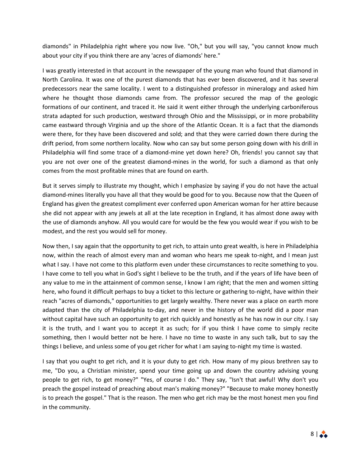diamonds" in Philadelphia right where you now live. "Oh," but you will say, "you cannot know much about your city if you think there are any 'acres of diamonds' here."

I was greatly interested in that account in the newspaper of the young man who found that diamond in North Carolina. It was one of the purest diamonds that has ever been discovered, and it has several predecessors near the same locality. I went to a distinguished professor in mineralogy and asked him where he thought those diamonds came from. The professor secured the map of the geologic formations of our continent, and traced it. He said it went either through the underlying carboniferous strata adapted for such production, westward through Ohio and the Mississippi, or in more probability came eastward through Virginia and up the shore of the Atlantic Ocean. It is a fact that the diamonds were there, for they have been discovered and sold; and that they were carried down there during the drift period, from some northern locality. Now who can say but some person going down with his drill in Philadelphia will find some trace of a diamond-mine yet down here? Oh, friends! you cannot say that you are not over one of the greatest diamond-mines in the world, for such a diamond as that only comes from the most profitable mines that are found on earth.

But it serves simply to illustrate my thought, which I emphasize by saying if you do not have the actual diamond-mines literally you have all that they would be good for to you. Because now that the Queen of England has given the greatest compliment ever conferred upon American woman for her attire because she did not appear with any jewels at all at the late reception in England, it has almost done away with the use of diamonds anyhow. All you would care for would be the few you would wear if you wish to be modest, and the rest you would sell for money.

Now then, I say again that the opportunity to get rich, to attain unto great wealth, is here in Philadelphia now, within the reach of almost every man and woman who hears me speak to-night, and I mean just what I say. I have not come to this platform even under these circumstances to recite something to you. I have come to tell you what in God's sight I believe to be the truth, and if the years of life have been of any value to me in the attainment of common sense, I know I am right; that the men and women sitting here, who found it difficult perhaps to buy a ticket to this lecture or gathering to-night, have within their reach "acres of diamonds," opportunities to get largely wealthy. There never was a place on earth more adapted than the city of Philadelphia to-day, and never in the history of the world did a poor man without capital have such an opportunity to get rich quickly and honestly as he has now in our city. I say it is the truth, and I want you to accept it as such; for if you think I have come to simply recite something, then I would better not be here. I have no time to waste in any such talk, but to say the things I believe, and unless some of you get richer for what I am saying to-night my time is wasted.

I say that you ought to get rich, and it is your duty to get rich. How many of my pious brethren say to me, "Do you, a Christian minister, spend your time going up and down the country advising young people to get rich, to get money?" "Yes, of course I do." They say, "Isn't that awful! Why don't you preach the gospel instead of preaching about man's making money?" "Because to make money honestly is to preach the gospel." That is the reason. The men who get rich may be the most honest men you find in the community.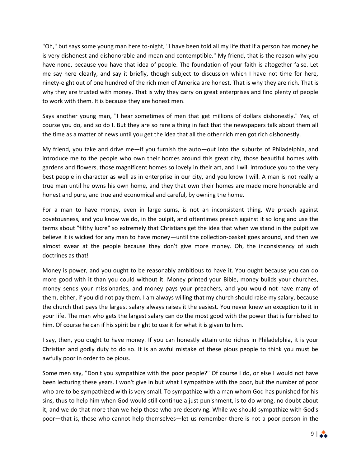"Oh," but says some young man here to-night, "I have been told all my life that if a person has money he is very dishonest and dishonorable and mean and contemptible." My friend, that is the reason why you have none, because you have that idea of people. The foundation of your faith is altogether false. Let me say here clearly, and say it briefly, though subject to discussion which I have not time for here, ninety-eight out of one hundred of the rich men of America are honest. That is why they are rich. That is why they are trusted with money. That is why they carry on great enterprises and find plenty of people to work with them. It is because they are honest men.

Says another young man, "I hear sometimes of men that get millions of dollars dishonestly." Yes, of course you do, and so do I. But they are so rare a thing in fact that the newspapers talk about them all the time as a matter of news until you get the idea that all the other rich men got rich dishonestly.

My friend, you take and drive me—if you furnish the auto—out into the suburbs of Philadelphia, and introduce me to the people who own their homes around this great city, those beautiful homes with gardens and flowers, those magnificent homes so lovely in their art, and I will introduce you to the very best people in character as well as in enterprise in our city, and you know I will. A man is not really a true man until he owns his own home, and they that own their homes are made more honorable and honest and pure, and true and economical and careful, by owning the home.

For a man to have money, even in large sums, is not an inconsistent thing. We preach against covetousness, and you know we do, in the pulpit, and oftentimes preach against it so long and use the terms about "filthy lucre" so extremely that Christians get the idea that when we stand in the pulpit we believe it is wicked for any man to have money—until the collection-basket goes around, and then we almost swear at the people because they don't give more money. Oh, the inconsistency of such doctrines as that!

Money is power, and you ought to be reasonably ambitious to have it. You ought because you can do more good with it than you could without it. Money printed your Bible, money builds your churches, money sends your missionaries, and money pays your preachers, and you would not have many of them, either, if you did not pay them. I am always willing that my church should raise my salary, because the church that pays the largest salary always raises it the easiest. You never knew an exception to it in your life. The man who gets the largest salary can do the most good with the power that is furnished to him. Of course he can if his spirit be right to use it for what it is given to him.

I say, then, you ought to have money. If you can honestly attain unto riches in Philadelphia, it is your Christian and godly duty to do so. It is an awful mistake of these pious people to think you must be awfully poor in order to be pious.

Some men say, "Don't you sympathize with the poor people?" Of course I do, or else I would not have been lecturing these years. I won't give in but what I sympathize with the poor, but the number of poor who are to be sympathized with is very small. To sympathize with a man whom God has punished for his sins, thus to help him when God would still continue a just punishment, is to do wrong, no doubt about it, and we do that more than we help those who are deserving. While we should sympathize with God's poor—that is, those who cannot help themselves—let us remember there is not a poor person in the

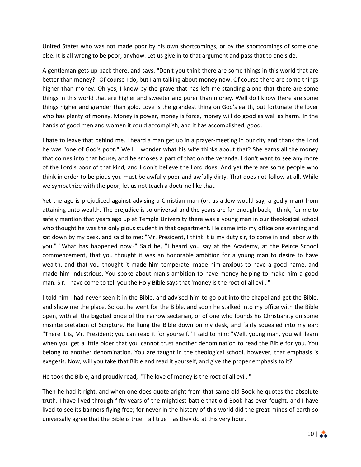United States who was not made poor by his own shortcomings, or by the shortcomings of some one else. It is all wrong to be poor, anyhow. Let us give in to that argument and pass that to one side.

A gentleman gets up back there, and says, "Don't you think there are some things in this world that are better than money?" Of course I do, but I am talking about money now. Of course there are some things higher than money. Oh yes, I know by the grave that has left me standing alone that there are some things in this world that are higher and sweeter and purer than money. Well do I know there are some things higher and grander than gold. Love is the grandest thing on God's earth, but fortunate the lover who has plenty of money. Money is power, money is force, money will do good as well as harm. In the hands of good men and women it could accomplish, and it has accomplished, good.

I hate to leave that behind me. I heard a man get up in a prayer-meeting in our city and thank the Lord he was "one of God's poor." Well, I wonder what his wife thinks about that? She earns all the money that comes into that house, and he smokes a part of that on the veranda. I don't want to see any more of the Lord's poor of that kind, and I don't believe the Lord does. And yet there are some people who think in order to be pious you must be awfully poor and awfully dirty. That does not follow at all. While we sympathize with the poor, let us not teach a doctrine like that.

Yet the age is prejudiced against advising a Christian man (or, as a Jew would say, a godly man) from attaining unto wealth. The prejudice is so universal and the years are far enough back, I think, for me to safely mention that years ago up at Temple University there was a young man in our theological school who thought he was the only pious student in that department. He came into my office one evening and sat down by my desk, and said to me: "Mr. President, I think it is my duty sir, to come in and labor with you." "What has happened now?" Said he, "I heard you say at the Academy, at the Peirce School commencement, that you thought it was an honorable ambition for a young man to desire to have wealth, and that you thought it made him temperate, made him anxious to have a good name, and made him industrious. You spoke about man's ambition to have money helping to make him a good man. Sir, I have come to tell you the Holy Bible says that 'money is the root of all evil.'"

I told him I had never seen it in the Bible, and advised him to go out into the chapel and get the Bible, and show me the place. So out he went for the Bible, and soon he stalked into my office with the Bible open, with all the bigoted pride of the narrow sectarian, or of one who founds his Christianity on some misinterpretation of Scripture. He flung the Bible down on my desk, and fairly squealed into my ear: "There it is, Mr. President; you can read it for yourself." I said to him: "Well, young man, you will learn when you get a little older that you cannot trust another denomination to read the Bible for you. You belong to another denomination. You are taught in the theological school, however, that emphasis is exegesis. Now, will you take that Bible and read it yourself, and give the proper emphasis to it?"

He took the Bible, and proudly read, "'The love of money is the root of all evil.'"

Then he had it right, and when one does quote aright from that same old Book he quotes the absolute truth. I have lived through fifty years of the mightiest battle that old Book has ever fought, and I have lived to see its banners flying free; for never in the history of this world did the great minds of earth so universally agree that the Bible is true—all true—as they do at this very hour.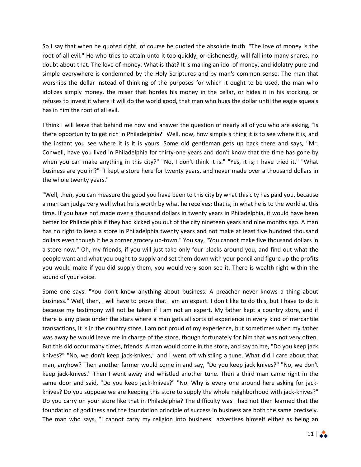So I say that when he quoted right, of course he quoted the absolute truth. "The love of money is the root of all evil." He who tries to attain unto it too quickly, or dishonestly, will fall into many snares, no doubt about that. The love of money. What is that? It is making an idol of money, and idolatry pure and simple everywhere is condemned by the Holy Scriptures and by man's common sense. The man that worships the dollar instead of thinking of the purposes for which it ought to be used, the man who idolizes simply money, the miser that hordes his money in the cellar, or hides it in his stocking, or refuses to invest it where it will do the world good, that man who hugs the dollar until the eagle squeals has in him the root of all evil.

I think I will leave that behind me now and answer the question of nearly all of you who are asking, "Is there opportunity to get rich in Philadelphia?" Well, now, how simple a thing it is to see where it is, and the instant you see where it is it is yours. Some old gentleman gets up back there and says, "Mr. Conwell, have you lived in Philadelphia for thirty-one years and don't know that the time has gone by when you can make anything in this city?" "No, I don't think it is." "Yes, it is; I have tried it." "What business are you in?" "I kept a store here for twenty years, and never made over a thousand dollars in the whole twenty years."

"Well, then, you can measure the good you have been to this city by what this city has paid you, because a man can judge very well what he is worth by what he receives; that is, in what he is to the world at this time. If you have not made over a thousand dollars in twenty years in Philadelphia, it would have been better for Philadelphia if they had kicked you out of the city nineteen years and nine months ago. A man has no right to keep a store in Philadelphia twenty years and not make at least five hundred thousand dollars even though it be a corner grocery up-town." You say, "You cannot make five thousand dollars in a store now." Oh, my friends, if you will just take only four blocks around you, and find out what the people want and what you ought to supply and set them down with your pencil and figure up the profits you would make if you did supply them, you would very soon see it. There is wealth right within the sound of your voice.

Some one says: "You don't know anything about business. A preacher never knows a thing about business." Well, then, I will have to prove that I am an expert. I don't like to do this, but I have to do it because my testimony will not be taken if I am not an expert. My father kept a country store, and if there is any place under the stars where a man gets all sorts of experience in every kind of mercantile transactions, it is in the country store. I am not proud of my experience, but sometimes when my father was away he would leave me in charge of the store, though fortunately for him that was not very often. But this did occur many times, friends: A man would come in the store, and say to me, "Do you keep jack knives?" "No, we don't keep jack-knives," and I went off whistling a tune. What did I care about that man, anyhow? Then another farmer would come in and say, "Do you keep jack knives?" "No, we don't keep jack-knives." Then I went away and whistled another tune. Then a third man came right in the same door and said, "Do you keep jack-knives?" "No. Why is every one around here asking for jackknives? Do you suppose we are keeping this store to supply the whole neighborhood with jack-knives?" Do you carry on your store like that in Philadelphia? The difficulty was I had not then learned that the foundation of godliness and the foundation principle of success in business are both the same precisely. The man who says, "I cannot carry my religion into business" advertises himself either as being an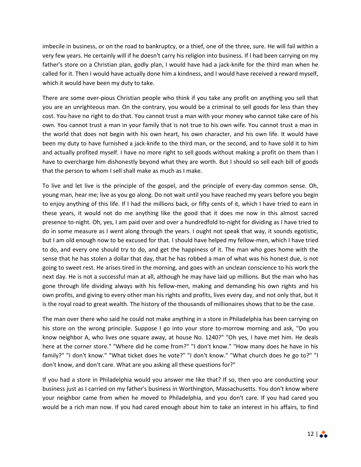imbecile in business, or on the road to bankruptcy, or a thief, one of the three, sure. He will fail within a very few years. He certainly will if he doesn't carry his religion into business. If I had been carrying on my father's store on a Christian plan, godly plan, I would have had a jack-knife for the third man when he called for it. Then I would have actually done him a kindness, and I would have received a reward myself, which it would have been my duty to take.

There are some over-pious Christian people who think if you take any profit on anything you sell that you are an unrighteous man. On the contrary, you would be a criminal to sell goods for less than they cost. You have no right to do that. You cannot trust a man with your money who cannot take care of his own. You cannot trust a man in your family that is not true to his own wife. You cannot trust a man in the world that does not begin with his own heart, his own character, and his own life. It would have been my duty to have furnished a jack-knife to the third man, or the second, and to have sold it to him and actually profited myself. I have no more right to sell goods without making a profit on them than I have to overcharge him dishonestly beyond what they are worth. But I should so sell each bill of goods that the person to whom I sell shall make as much as I make.

To live and let live is the principle of the gospel, and the principle of every-day common sense. Oh, young man, hear me; live as you go along. Do not wait until you have reached my years before you begin to enjoy anything of this life. If I had the millions back, or fifty cents of it, which I have tried to earn in these years, it would not do me anything like the good that it does me now in this almost sacred presence to-night. Oh, yes, I am paid over and over a hundredfold to-night for dividing as I have tried to do in some measure as I went along through the years. I ought not speak that way, it sounds egotistic, but I am old enough now to be excused for that. I should have helped my fellow-men, which I have tried to do, and every one should try to do, and get the happiness of it. The man who goes home with the sense that he has stolen a dollar that day, that he has robbed a man of what was his honest due, is not going to sweet rest. He arises tired in the morning, and goes with an unclean conscience to his work the next day. He is not a successful man at all, although he may have laid up millions. But the man who has gone through life dividing always with his fellow-men, making and demanding his own rights and his own profits, and giving to every other man his rights and profits, lives every day, and not only that, but it is the royal road to great wealth. The history of the thousands of millionaires shows that to be the case.

The man over there who said he could not make anything in a store in Philadelphia has been carrying on his store on the wrong principle. Suppose I go into your store to-morrow morning and ask, "Do you know neighbor A, who lives one square away, at house No. 1240?" "Oh yes, I have met him. He deals here at the corner store." "Where did he come from?" "I don't know." "How many does he have in his family?" "I don't know." "What ticket does he vote?" "I don't know." "What church does he go to?" "I don't know, and don't care. What are you asking all these questions for?"

If you had a store in Philadelphia would you answer me like that? If so, then you are conducting your business just as I carried on my father's business in Worthington, Massachusetts. You don't know where your neighbor came from when he moved to Philadelphia, and you don't care. If you had cared you would be a rich man now. If you had cared enough about him to take an interest in his affairs, to find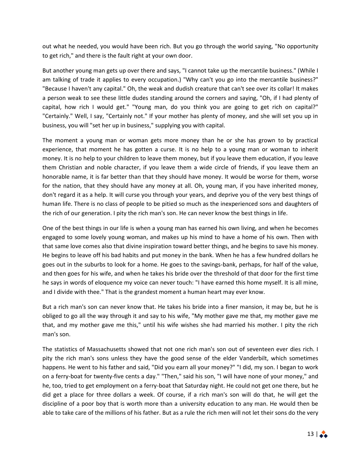out what he needed, you would have been rich. But you go through the world saying, "No opportunity to get rich," and there is the fault right at your own door.

But another young man gets up over there and says, "I cannot take up the mercantile business." (While I am talking of trade it applies to every occupation.) "Why can't you go into the mercantile business?" "Because I haven't any capital." Oh, the weak and dudish creature that can't see over its collar! It makes a person weak to see these little dudes standing around the corners and saying, "Oh, if I had plenty of capital, how rich I would get." "Young man, do you think you are going to get rich on capital?" "Certainly." Well, I say, "Certainly not." If your mother has plenty of money, and she will set you up in business, you will "set her up in business," supplying you with capital.

The moment a young man or woman gets more money than he or she has grown to by practical experience, that moment he has gotten a curse. It is no help to a young man or woman to inherit money. It is no help to your children to leave them money, but if you leave them education, if you leave them Christian and noble character, if you leave them a wide circle of friends, if you leave them an honorable name, it is far better than that they should have money. It would be worse for them, worse for the nation, that they should have any money at all. Oh, young man, if you have inherited money, don't regard it as a help. It will curse you through your years, and deprive you of the very best things of human life. There is no class of people to be pitied so much as the inexperienced sons and daughters of the rich of our generation. I pity the rich man's son. He can never know the best things in life.

One of the best things in our life is when a young man has earned his own living, and when he becomes engaged to some lovely young woman, and makes up his mind to have a home of his own. Then with that same love comes also that divine inspiration toward better things, and he begins to save his money. He begins to leave off his bad habits and put money in the bank. When he has a few hundred dollars he goes out in the suburbs to look for a home. He goes to the savings-bank, perhaps, for half of the value, and then goes for his wife, and when he takes his bride over the threshold of that door for the first time he says in words of eloquence my voice can never touch: "I have earned this home myself. It is all mine, and I divide with thee." That is the grandest moment a human heart may ever know.

But a rich man's son can never know that. He takes his bride into a finer mansion, it may be, but he is obliged to go all the way through it and say to his wife, "My mother gave me that, my mother gave me that, and my mother gave me this," until his wife wishes she had married his mother. I pity the rich man's son.

The statistics of Massachusetts showed that not one rich man's son out of seventeen ever dies rich. I pity the rich man's sons unless they have the good sense of the elder Vanderbilt, which sometimes happens. He went to his father and said, "Did you earn all your money?" "I did, my son. I began to work on a ferry-boat for twenty-five cents a day." "Then," said his son, "I will have none of your money," and he, too, tried to get employment on a ferry-boat that Saturday night. He could not get one there, but he did get a place for three dollars a week. Of course, if a rich man's son will do that, he will get the discipline of a poor boy that is worth more than a university education to any man. He would then be able to take care of the millions of his father. But as a rule the rich men will not let their sons do the very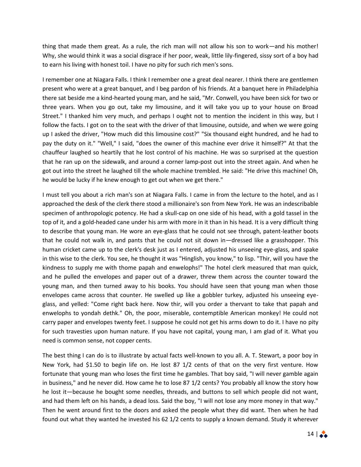thing that made them great. As a rule, the rich man will not allow his son to work—and his mother! Why, she would think it was a social disgrace if her poor, weak, little lily-fingered, sissy sort of a boy had to earn his living with honest toil. I have no pity for such rich men's sons.

I remember one at Niagara Falls. I think I remember one a great deal nearer. I think there are gentlemen present who were at a great banquet, and I beg pardon of his friends. At a banquet here in Philadelphia there sat beside me a kind-hearted young man, and he said, "Mr. Conwell, you have been sick for two or three years. When you go out, take my limousine, and it will take you up to your house on Broad Street." I thanked him very much, and perhaps I ought not to mention the incident in this way, but I follow the facts. I got on to the seat with the driver of that limousine, outside, and when we were going up I asked the driver, "How much did this limousine cost?" "Six thousand eight hundred, and he had to pay the duty on it." "Well," I said, "does the owner of this machine ever drive it himself?" At that the chauffeur laughed so heartily that he lost control of his machine. He was so surprised at the question that he ran up on the sidewalk, and around a corner lamp-post out into the street again. And when he got out into the street he laughed till the whole machine trembled. He said: "He drive this machine! Oh, he would be lucky if he knew enough to get out when we get there."

I must tell you about a rich man's son at Niagara Falls. I came in from the lecture to the hotel, and as I approached the desk of the clerk there stood a millionaire's son from New York. He was an indescribable specimen of anthropologic potency. He had a skull-cap on one side of his head, with a gold tassel in the top of it, and a gold-headed cane under his arm with more in it than in his head. It is a very difficult thing to describe that young man. He wore an eye-glass that he could not see through, patent-leather boots that he could not walk in, and pants that he could not sit down in—dressed like a grasshopper. This human cricket came up to the clerk's desk just as I entered, adjusted his unseeing eye-glass, and spake in this wise to the clerk. You see, he thought it was "Hinglish, you know," to lisp. "Thir, will you have the kindness to supply me with thome papah and enwelophs!" The hotel clerk measured that man quick, and he pulled the envelopes and paper out of a drawer, threw them across the counter toward the young man, and then turned away to his books. You should have seen that young man when those envelopes came across that counter. He swelled up like a gobbler turkey, adjusted his unseeing eyeglass, and yelled: "Come right back here. Now thir, will you order a thervant to take that papah and enwelophs to yondah dethk." Oh, the poor, miserable, contemptible American monkey! He could not carry paper and envelopes twenty feet. I suppose he could not get his arms down to do it. I have no pity for such travesties upon human nature. If you have not capital, young man, I am glad of it. What you need is common sense, not copper cents.

The best thing I can do is to illustrate by actual facts well-known to you all. A. T. Stewart, a poor boy in New York, had \$1.50 to begin life on. He lost 87 1/2 cents of that on the very first venture. How fortunate that young man who loses the first time he gambles. That boy said, "I will never gamble again in business," and he never did. How came he to lose 87 1/2 cents? You probably all know the story how he lost it—because he bought some needles, threads, and buttons to sell which people did not want, and had them left on his hands, a dead loss. Said the boy, "I will not lose any more money in that way." Then he went around first to the doors and asked the people what they did want. Then when he had found out what they wanted he invested his 62 1/2 cents to supply a known demand. Study it wherever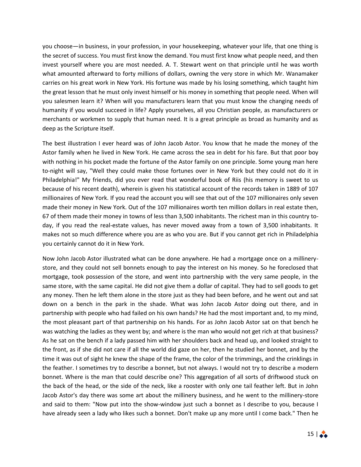you choose—in business, in your profession, in your housekeeping, whatever your life, that one thing is the secret of success. You must first know the demand. You must first know what people need, and then invest yourself where you are most needed. A. T. Stewart went on that principle until he was worth what amounted afterward to forty millions of dollars, owning the very store in which Mr. Wanamaker carries on his great work in New York. His fortune was made by his losing something, which taught him the great lesson that he must only invest himself or his money in something that people need. When will you salesmen learn it? When will you manufacturers learn that you must know the changing needs of humanity if you would succeed in life? Apply yourselves, all you Christian people, as manufacturers or merchants or workmen to supply that human need. It is a great principle as broad as humanity and as deep as the Scripture itself.

The best illustration I ever heard was of John Jacob Astor. You know that he made the money of the Astor family when he lived in New York. He came across the sea in debt for his fare. But that poor boy with nothing in his pocket made the fortune of the Astor family on one principle. Some young man here to-night will say, "Well they could make those fortunes over in New York but they could not do it in Philadelphia!" My friends, did you ever read that wonderful book of Riis (his memory is sweet to us because of his recent death), wherein is given his statistical account of the records taken in 1889 of 107 millionaires of New York. If you read the account you will see that out of the 107 millionaires only seven made their money in New York. Out of the 107 millionaires worth ten million dollars in real estate then, 67 of them made their money in towns of less than 3,500 inhabitants. The richest man in this country today, if you read the real-estate values, has never moved away from a town of 3,500 inhabitants. It makes not so much difference where you are as who you are. But if you cannot get rich in Philadelphia you certainly cannot do it in New York.

Now John Jacob Astor illustrated what can be done anywhere. He had a mortgage once on a millinerystore, and they could not sell bonnets enough to pay the interest on his money. So he foreclosed that mortgage, took possession of the store, and went into partnership with the very same people, in the same store, with the same capital. He did not give them a dollar of capital. They had to sell goods to get any money. Then he left them alone in the store just as they had been before, and he went out and sat down on a bench in the park in the shade. What was John Jacob Astor doing out there, and in partnership with people who had failed on his own hands? He had the most important and, to my mind, the most pleasant part of that partnership on his hands. For as John Jacob Astor sat on that bench he was watching the ladies as they went by; and where is the man who would not get rich at that business? As he sat on the bench if a lady passed him with her shoulders back and head up, and looked straight to the front, as if she did not care if all the world did gaze on her, then he studied her bonnet, and by the time it was out of sight he knew the shape of the frame, the color of the trimmings, and the crinklings in the feather. I sometimes try to describe a bonnet, but not always. I would not try to describe a modern bonnet. Where is the man that could describe one? This aggregation of all sorts of driftwood stuck on the back of the head, or the side of the neck, like a rooster with only one tail feather left. But in John Jacob Astor's day there was some art about the millinery business, and he went to the millinery-store and said to them: "Now put into the show-window just such a bonnet as I describe to you, because I have already seen a lady who likes such a bonnet. Don't make up any more until I come back." Then he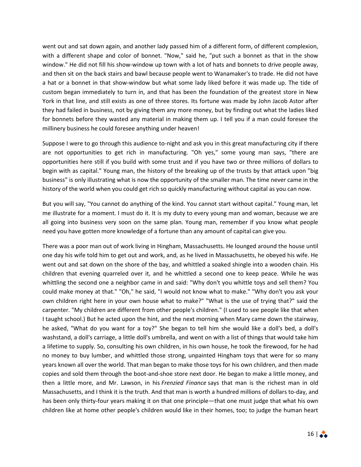went out and sat down again, and another lady passed him of a different form, of different complexion, with a different shape and color of bonnet. "Now," said he, "put such a bonnet as that in the show window." He did not fill his show-window up town with a lot of hats and bonnets to drive people away, and then sit on the back stairs and bawl because people went to Wanamaker's to trade. He did not have a hat or a bonnet in that show-window but what some lady liked before it was made up. The tide of custom began immediately to turn in, and that has been the foundation of the greatest store in New York in that line, and still exists as one of three stores. Its fortune was made by John Jacob Astor after they had failed in business, not by giving them any more money, but by finding out what the ladies liked for bonnets before they wasted any material in making them up. I tell you if a man could foresee the millinery business he could foresee anything under heaven!

Suppose I were to go through this audience to-night and ask you in this great manufacturing city if there are not opportunities to get rich in manufacturing. "Oh yes," some young man says, "there are opportunities here still if you build with some trust and if you have two or three millions of dollars to begin with as capital." Young man, the history of the breaking up of the trusts by that attack upon "big business" is only illustrating what is now the opportunity of the smaller man. The time never came in the history of the world when you could get rich so quickly manufacturing without capital as you can now.

But you will say, "You cannot do anything of the kind. You cannot start without capital." Young man, let me illustrate for a moment. I must do it. It is my duty to every young man and woman, because we are all going into business very soon on the same plan. Young man, remember if you know what people need you have gotten more knowledge of a fortune than any amount of capital can give you.

There was a poor man out of work living in Hingham, Massachusetts. He lounged around the house until one day his wife told him to get out and work, and, as he lived in Massachusetts, he obeyed his wife. He went out and sat down on the shore of the bay, and whittled a soaked shingle into a wooden chain. His children that evening quarreled over it, and he whittled a second one to keep peace. While he was whittling the second one a neighbor came in and said: "Why don't you whittle toys and sell them? You could make money at that." "Oh," he said, "I would not know what to make." "Why don't you ask your own children right here in your own house what to make?" "What is the use of trying that?" said the carpenter. "My children are different from other people's children." (I used to see people like that when I taught school.) But he acted upon the hint, and the next morning when Mary came down the stairway, he asked, "What do you want for a toy?" She began to tell him she would like a doll's bed, a doll's washstand, a doll's carriage, a little doll's umbrella, and went on with a list of things that would take him a lifetime to supply. So, consulting his own children, in his own house, he took the firewood, for he had no money to buy lumber, and whittled those strong, unpainted Hingham toys that were for so many years known all over the world. That man began to make those toys for his own children, and then made copies and sold them through the boot-and-shoe store next door. He began to make a little money, and then a little more, and Mr. Lawson, in his *Frenzied Finance* says that man is the richest man in old Massachusetts, and I think it is the truth. And that man is worth a hundred millions of dollars to-day, and has been only thirty-four years making it on that one principle—that one must judge that what his own children like at home other people's children would like in their homes, too; to judge the human heart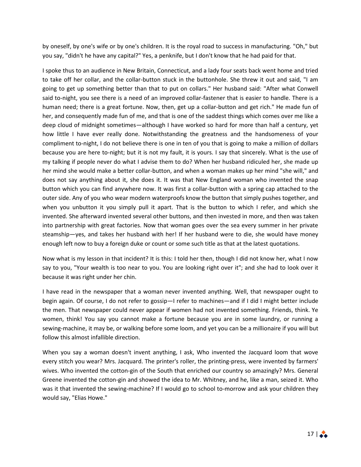by oneself, by one's wife or by one's children. It is the royal road to success in manufacturing. "Oh," but you say, "didn't he have any capital?" Yes, a penknife, but I don't know that he had paid for that.

I spoke thus to an audience in New Britain, Connecticut, and a lady four seats back went home and tried to take off her collar, and the collar-button stuck in the buttonhole. She threw it out and said, "I am going to get up something better than that to put on collars." Her husband said: "After what Conwell said to-night, you see there is a need of an improved collar-fastener that is easier to handle. There is a human need; there is a great fortune. Now, then, get up a collar-button and get rich." He made fun of her, and consequently made fun of me, and that is one of the saddest things which comes over me like a deep cloud of midnight sometimes—although I have worked so hard for more than half a century, yet how little I have ever really done. Notwithstanding the greatness and the handsomeness of your compliment to-night, I do not believe there is one in ten of you that is going to make a million of dollars because you are here to-night; but it is not my fault, it is yours. I say that sincerely. What is the use of my talking if people never do what I advise them to do? When her husband ridiculed her, she made up her mind she would make a better collar-button, and when a woman makes up her mind "she will," and does not say anything about it, she does it. It was that New England woman who invented the snap button which you can find anywhere now. It was first a collar-button with a spring cap attached to the outer side. Any of you who wear modern waterproofs know the button that simply pushes together, and when you unbutton it you simply pull it apart. That is the button to which I refer, and which she invented. She afterward invented several other buttons, and then invested in more, and then was taken into partnership with great factories. Now that woman goes over the sea every summer in her private steamship—yes, and takes her husband with her! If her husband were to die, she would have money enough left now to buy a foreign duke or count or some such title as that at the latest quotations.

Now what is my lesson in that incident? It is this: I told her then, though I did not know her, what I now say to you, "Your wealth is too near to you. You are looking right over it"; and she had to look over it because it was right under her chin.

I have read in the newspaper that a woman never invented anything. Well, that newspaper ought to begin again. Of course, I do not refer to gossip—I refer to machines—and if I did I might better include the men. That newspaper could never appear if women had not invented something. Friends, think. Ye women, think! You say you cannot make a fortune because you are in some laundry, or running a sewing-machine, it may be, or walking before some loom, and yet you can be a millionaire if you will but follow this almost infallible direction.

When you say a woman doesn't invent anything, I ask, Who invented the Jacquard loom that wove every stitch you wear? Mrs. Jacquard. The printer's roller, the printing-press, were invented by farmers' wives. Who invented the cotton-gin of the South that enriched our country so amazingly? Mrs. General Greene invented the cotton-gin and showed the idea to Mr. Whitney, and he, like a man, seized it. Who was it that invented the sewing-machine? If I would go to school to-morrow and ask your children they would say, "Elias Howe."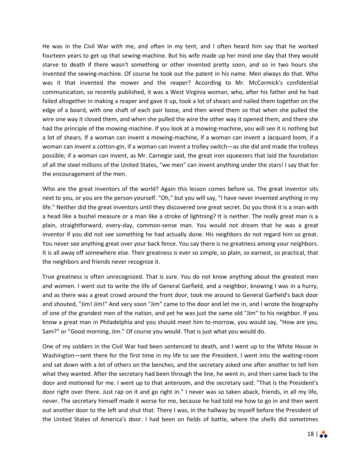He was in the Civil War with me, and often in my tent, and I often heard him say that he worked fourteen years to get up that sewing-machine. But his wife made up her mind one day that they would starve to death if there wasn't something or other invented pretty soon, and so in two hours she invented the sewing-machine. Of course he took out the patent in his name. Men always do that. Who was it that invented the mower and the reaper? According to Mr. McCormick's confidential communication, so recently published, it was a West Virginia woman, who, after his father and he had failed altogether in making a reaper and gave it up, took a lot of shears and nailed them together on the edge of a board, with one shaft of each pair loose, and then wired them so that when she pulled the wire one way it closed them, and when she pulled the wire the other way it opened them, and there she had the principle of the mowing-machine. If you look at a mowing-machine, you will see it is nothing but a lot of shears. If a woman can invent a mowing-machine, if a woman can invent a Jacquard loom, if a woman can invent a cotton-gin, if a woman can invent a trolley switch—as she did and made the trolleys possible; if a woman can invent, as Mr. Carnegie said, the great iron squeezers that laid the foundation of all the steel millions of the United States, "we men" can invent anything under the stars! I say that for the encouragement of the men.

Who are the great inventors of the world? Again this lesson comes before us. The great inventor sits next to you, or you are the person yourself. "Oh," but you will say, "I have never invented anything in my life." Neither did the great inventors until they discovered one great secret. Do you think it is a man with a head like a bushel measure or a man like a stroke of lightning? It is neither. The really great man is a plain, straightforward, every-day, common-sense man. You would not dream that he was a great inventor if you did not see something he had actually done. His neighbors do not regard him so great. You never see anything great over your back fence. You say there is no greatness among your neighbors. It is all away off somewhere else. Their greatness is ever so simple, so plain, so earnest, so practical, that the neighbors and friends never recognize it.

True greatness is often unrecognized. That is sure. You do not know anything about the greatest men and women. I went out to write the life of General Garfield, and a neighbor, knowing I was in a hurry, and as there was a great crowd around the front door, took me around to General Garfield's back door and shouted, "Jim! Jim!" And very soon "Jim" came to the door and let me in, and I wrote the biography of one of the grandest men of the nation, and yet he was just the same old "Jim" to his neighbor. If you know a great man in Philadelphia and you should meet him to-morrow, you would say, "How are you, Sam?" or "Good morning, Jim." Of course you would. That is just what you would do.

One of my soldiers in the Civil War had been sentenced to death, and I went up to the White House in Washington—sent there for the first time in my life to see the President. I went into the waiting-room and sat down with a lot of others on the benches, and the secretary asked one after another to tell him what they wanted. After the secretary had been through the line, he went in, and then came back to the door and motioned for me. I went up to that anteroom, and the secretary said: "That is the President's door right over there. Just rap on it and go right in." I never was so taken aback, friends, in all my life, never. The secretary himself made it worse for me, because he had told me how to go in and then went out another door to the left and shut that. There I was, in the hallway by myself before the President of the United States of America's door. I had been on fields of battle, where the shells did sometimes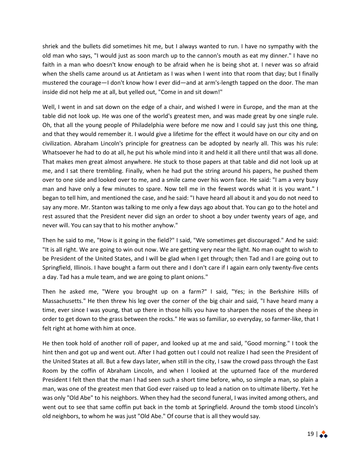shriek and the bullets did sometimes hit me, but I always wanted to run. I have no sympathy with the old man who says, "I would just as soon march up to the cannon's mouth as eat my dinner." I have no faith in a man who doesn't know enough to be afraid when he is being shot at. I never was so afraid when the shells came around us at Antietam as I was when I went into that room that day; but I finally mustered the courage—I don't know how I ever did—and at arm's-length tapped on the door. The man inside did not help me at all, but yelled out, "Come in and sit down!"

Well, I went in and sat down on the edge of a chair, and wished I were in Europe, and the man at the table did not look up. He was one of the world's greatest men, and was made great by one single rule. Oh, that all the young people of Philadelphia were before me now and I could say just this one thing, and that they would remember it. I would give a lifetime for the effect it would have on our city and on civilization. Abraham Lincoln's principle for greatness can be adopted by nearly all. This was his rule: Whatsoever he had to do at all, he put his whole mind into it and held it all there until that was all done. That makes men great almost anywhere. He stuck to those papers at that table and did not look up at me, and I sat there trembling. Finally, when he had put the string around his papers, he pushed them over to one side and looked over to me, and a smile came over his worn face. He said: "I am a very busy man and have only a few minutes to spare. Now tell me in the fewest words what it is you want." I began to tell him, and mentioned the case, and he said: "I have heard all about it and you do not need to say any more. Mr. Stanton was talking to me only a few days ago about that. You can go to the hotel and rest assured that the President never did sign an order to shoot a boy under twenty years of age, and never will. You can say that to his mother anyhow."

Then he said to me, "How is it going in the field?" I said, "We sometimes get discouraged." And he said: "It is all right. We are going to win out now. We are getting very near the light. No man ought to wish to be President of the United States, and I will be glad when I get through; then Tad and I are going out to Springfield, Illinois. I have bought a farm out there and I don't care if I again earn only twenty-five cents a day. Tad has a mule team, and we are going to plant onions."

Then he asked me, "Were you brought up on a farm?" I said, "Yes; in the Berkshire Hills of Massachusetts." He then threw his leg over the corner of the big chair and said, "I have heard many a time, ever since I was young, that up there in those hills you have to sharpen the noses of the sheep in order to get down to the grass between the rocks." He was so familiar, so everyday, so farmer-like, that I felt right at home with him at once.

He then took hold of another roll of paper, and looked up at me and said, "Good morning." I took the hint then and got up and went out. After I had gotten out I could not realize I had seen the President of the United States at all. But a few days later, when still in the city, I saw the crowd pass through the East Room by the coffin of Abraham Lincoln, and when I looked at the upturned face of the murdered President I felt then that the man I had seen such a short time before, who, so simple a man, so plain a man, was one of the greatest men that God ever raised up to lead a nation on to ultimate liberty. Yet he was only "Old Abe" to his neighbors. When they had the second funeral, I was invited among others, and went out to see that same coffin put back in the tomb at Springfield. Around the tomb stood Lincoln's old neighbors, to whom he was just "Old Abe." Of course that is all they would say.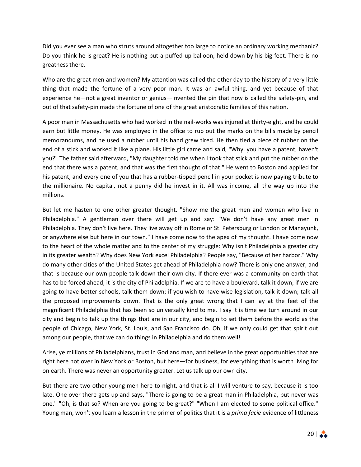Did you ever see a man who struts around altogether too large to notice an ordinary working mechanic? Do you think he is great? He is nothing but a puffed-up balloon, held down by his big feet. There is no greatness there.

Who are the great men and women? My attention was called the other day to the history of a very little thing that made the fortune of a very poor man. It was an awful thing, and yet because of that experience he—not a great inventor or genius—invented the pin that now is called the safety-pin, and out of that safety-pin made the fortune of one of the great aristocratic families of this nation.

A poor man in Massachusetts who had worked in the nail-works was injured at thirty-eight, and he could earn but little money. He was employed in the office to rub out the marks on the bills made by pencil memorandums, and he used a rubber until his hand grew tired. He then tied a piece of rubber on the end of a stick and worked it like a plane. His little girl came and said, "Why, you have a patent, haven't you?" The father said afterward, "My daughter told me when I took that stick and put the rubber on the end that there was a patent, and that was the first thought of that." He went to Boston and applied for his patent, and every one of you that has a rubber-tipped pencil in your pocket is now paying tribute to the millionaire. No capital, not a penny did he invest in it. All was income, all the way up into the millions.

But let me hasten to one other greater thought. "Show me the great men and women who live in Philadelphia." A gentleman over there will get up and say: "We don't have any great men in Philadelphia. They don't live here. They live away off in Rome or St. Petersburg or London or Manayunk, or anywhere else but here in our town." I have come now to the apex of my thought. I have come now to the heart of the whole matter and to the center of my struggle: Why isn't Philadelphia a greater city in its greater wealth? Why does New York excel Philadelphia? People say, "Because of her harbor." Why do many other cities of the United States get ahead of Philadelphia now? There is only one answer, and that is because our own people talk down their own city. If there ever was a community on earth that has to be forced ahead, it is the city of Philadelphia. If we are to have a boulevard, talk it down; if we are going to have better schools, talk them down; if you wish to have wise legislation, talk it down; talk all the proposed improvements down. That is the only great wrong that I can lay at the feet of the magnificent Philadelphia that has been so universally kind to me. I say it is time we turn around in our city and begin to talk up the things that are in our city, and begin to set them before the world as the people of Chicago, New York, St. Louis, and San Francisco do. Oh, if we only could get that spirit out among our people, that we can do things in Philadelphia and do them well!

Arise, ye millions of Philadelphians, trust in God and man, and believe in the great opportunities that are right here not over in New York or Boston, but here—for business, for everything that is worth living for on earth. There was never an opportunity greater. Let us talk up our own city.

But there are two other young men here to-night, and that is all I will venture to say, because it is too late. One over there gets up and says, "There is going to be a great man in Philadelphia, but never was one." "Oh, is that so? When are you going to be great?" "When I am elected to some political office." Young man, won't you learn a lesson in the primer of politics that it is a *prima facie* evidence of littleness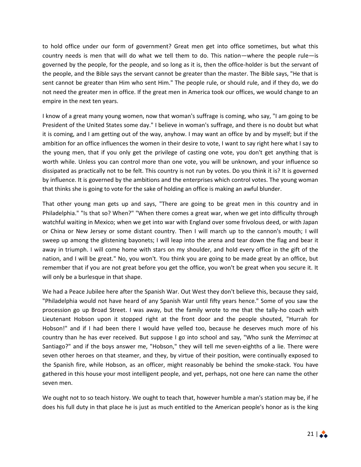to hold office under our form of government? Great men get into office sometimes, but what this country needs is men that will do what we tell them to do. This nation—where the people rule—is governed by the people, for the people, and so long as it is, then the office-holder is but the servant of the people, and the Bible says the servant cannot be greater than the master. The Bible says, "He that is sent cannot be greater than Him who sent Him." The people rule, or should rule, and if they do, we do not need the greater men in office. If the great men in America took our offices, we would change to an empire in the next ten years.

I know of a great many young women, now that woman's suffrage is coming, who say, "I am going to be President of the United States some day." I believe in woman's suffrage, and there is no doubt but what it is coming, and I am getting out of the way, anyhow. I may want an office by and by myself; but if the ambition for an office influences the women in their desire to vote, I want to say right here what I say to the young men, that if you only get the privilege of casting one vote, you don't get anything that is worth while. Unless you can control more than one vote, you will be unknown, and your influence so dissipated as practically not to be felt. This country is not run by votes. Do you think it is? It is governed by influence. It is governed by the ambitions and the enterprises which control votes. The young woman that thinks she is going to vote for the sake of holding an office is making an awful blunder.

That other young man gets up and says, "There are going to be great men in this country and in Philadelphia." "Is that so? When?" "When there comes a great war, when we get into difficulty through watchful waiting in Mexico; when we get into war with England over some frivolous deed, or with Japan or China or New Jersey or some distant country. Then I will march up to the cannon's mouth; I will sweep up among the glistening bayonets; I will leap into the arena and tear down the flag and bear it away in triumph. I will come home with stars on my shoulder, and hold every office in the gift of the nation, and I will be great." No, you won't. You think you are going to be made great by an office, but remember that if you are not great before you get the office, you won't be great when you secure it. It will only be a burlesque in that shape.

We had a Peace Jubilee here after the Spanish War. Out West they don't believe this, because they said, "Philadelphia would not have heard of any Spanish War until fifty years hence." Some of you saw the procession go up Broad Street. I was away, but the family wrote to me that the tally-ho coach with Lieutenant Hobson upon it stopped right at the front door and the people shouted, "Hurrah for Hobson!" and if I had been there I would have yelled too, because he deserves much more of his country than he has ever received. But suppose I go into school and say, "Who sunk the *Merrimac* at Santiago?" and if the boys answer me, "Hobson," they will tell me seven-eighths of a lie. There were seven other heroes on that steamer, and they, by virtue of their position, were continually exposed to the Spanish fire, while Hobson, as an officer, might reasonably be behind the smoke-stack. You have gathered in this house your most intelligent people, and yet, perhaps, not one here can name the other seven men.

We ought not to so teach history. We ought to teach that, however humble a man's station may be, if he does his full duty in that place he is just as much entitled to the American people's honor as is the king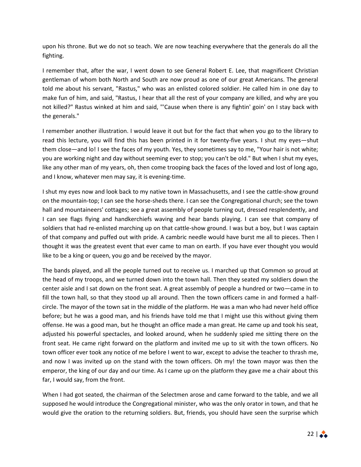upon his throne. But we do not so teach. We are now teaching everywhere that the generals do all the fighting.

I remember that, after the war, I went down to see General Robert E. Lee, that magnificent Christian gentleman of whom both North and South are now proud as one of our great Americans. The general told me about his servant, "Rastus," who was an enlisted colored soldier. He called him in one day to make fun of him, and said, "Rastus, I hear that all the rest of your company are killed, and why are you not killed?" Rastus winked at him and said, "'Cause when there is any fightin' goin' on I stay back with the generals."

I remember another illustration. I would leave it out but for the fact that when you go to the library to read this lecture, you will find this has been printed in it for twenty-five years. I shut my eyes—shut them close—and lo! I see the faces of my youth. Yes, they sometimes say to me, "Your hair is not white; you are working night and day without seeming ever to stop; you can't be old." But when I shut my eyes, like any other man of my years, oh, then come trooping back the faces of the loved and lost of long ago, and I know, whatever men may say, it is evening-time.

I shut my eyes now and look back to my native town in Massachusetts, and I see the cattle-show ground on the mountain-top; I can see the horse-sheds there. I can see the Congregational church; see the town hall and mountaineers' cottages; see a great assembly of people turning out, dressed resplendently, and I can see flags flying and handkerchiefs waving and hear bands playing. I can see that company of soldiers that had re-enlisted marching up on that cattle-show ground. I was but a boy, but I was captain of that company and puffed out with pride. A cambric needle would have burst me all to pieces. Then I thought it was the greatest event that ever came to man on earth. If you have ever thought you would like to be a king or queen, you go and be received by the mayor.

The bands played, and all the people turned out to receive us. I marched up that Common so proud at the head of my troops, and we turned down into the town hall. Then they seated my soldiers down the center aisle and I sat down on the front seat. A great assembly of people a hundred or two—came in to fill the town hall, so that they stood up all around. Then the town officers came in and formed a halfcircle. The mayor of the town sat in the middle of the platform. He was a man who had never held office before; but he was a good man, and his friends have told me that I might use this without giving them offense. He was a good man, but he thought an office made a man great. He came up and took his seat, adjusted his powerful spectacles, and looked around, when he suddenly spied me sitting there on the front seat. He came right forward on the platform and invited me up to sit with the town officers. No town officer ever took any notice of me before I went to war, except to advise the teacher to thrash me, and now I was invited up on the stand with the town officers. Oh my! the town mayor was then the emperor, the king of our day and our time. As I came up on the platform they gave me a chair about this far, I would say, from the front.

When I had got seated, the chairman of the Selectmen arose and came forward to the table, and we all supposed he would introduce the Congregational minister, who was the only orator in town, and that he would give the oration to the returning soldiers. But, friends, you should have seen the surprise which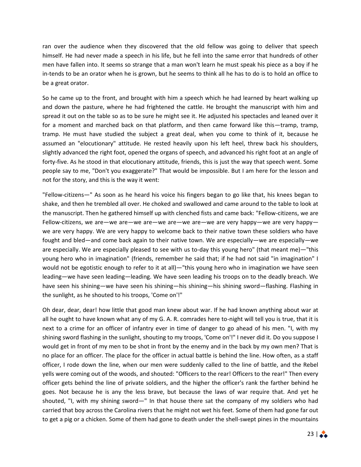ran over the audience when they discovered that the old fellow was going to deliver that speech himself. He had never made a speech in his life, but he fell into the same error that hundreds of other men have fallen into. It seems so strange that a man won't learn he must speak his piece as a boy if he in-tends to be an orator when he is grown, but he seems to think all he has to do is to hold an office to be a great orator.

So he came up to the front, and brought with him a speech which he had learned by heart walking up and down the pasture, where he had frightened the cattle. He brought the manuscript with him and spread it out on the table so as to be sure he might see it. He adjusted his spectacles and leaned over it for a moment and marched back on that platform, and then came forward like this—tramp, tramp, tramp. He must have studied the subject a great deal, when you come to think of it, because he assumed an "elocutionary" attitude. He rested heavily upon his left heel, threw back his shoulders, slightly advanced the right foot, opened the organs of speech, and advanced his right foot at an angle of forty-five. As he stood in that elocutionary attitude, friends, this is just the way that speech went. Some people say to me, "Don't you exaggerate?" That would be impossible. But I am here for the lesson and not for the story, and this is the way it went:

"Fellow-citizens—" As soon as he heard his voice his fingers began to go like that, his knees began to shake, and then he trembled all over. He choked and swallowed and came around to the table to look at the manuscript. Then he gathered himself up with clenched fists and came back: "Fellow-citizens, we are Fellow-citizens, we are—we are—we are—we are—we are—we are very happy—we are very happy we are very happy. We are very happy to welcome back to their native town these soldiers who have fought and bled—and come back again to their native town. We are especially—we are especially—we are especially. We are especially pleased to see with us to-day this young hero" (that meant me)—"this young hero who in imagination" (friends, remember he said that; if he had not said "in imagination" I would not be egotistic enough to refer to it at all)—"this young hero who in imagination we have seen leading—we have seen leading—leading. We have seen leading his troops on to the deadly breach. We have seen his shining—we have seen his shining—his shining—his shining sword—flashing. Flashing in the sunlight, as he shouted to his troops, 'Come on'!"

Oh dear, dear, dear! how little that good man knew about war. If he had known anything about war at all he ought to have known what any of my G. A. R. comrades here to-night will tell you is true, that it is next to a crime for an officer of infantry ever in time of danger to go ahead of his men. "I, with my shining sword flashing in the sunlight, shouting to my troops, 'Come on'!" I never did it. Do you suppose I would get in front of my men to be shot in front by the enemy and in the back by my own men? That is no place for an officer. The place for the officer in actual battle is behind the line. How often, as a staff officer, I rode down the line, when our men were suddenly called to the line of battle, and the Rebel yells were coming out of the woods, and shouted: "Officers to the rear! Officers to the rear!" Then every officer gets behind the line of private soldiers, and the higher the officer's rank the farther behind he goes. Not because he is any the less brave, but because the laws of war require that. And yet he shouted, "I, with my shining sword—" In that house there sat the company of my soldiers who had carried that boy across the Carolina rivers that he might not wet his feet. Some of them had gone far out to get a pig or a chicken. Some of them had gone to death under the shell-swept pines in the mountains